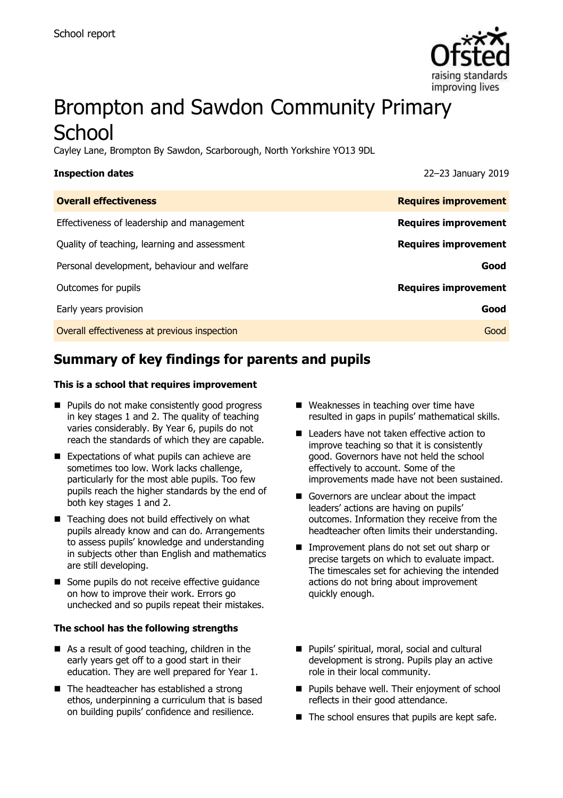

# Brompton and Sawdon Community Primary **School**

Cayley Lane, Brompton By Sawdon, Scarborough, North Yorkshire YO13 9DL

| <b>Inspection dates</b>                      | 22-23 January 2019          |
|----------------------------------------------|-----------------------------|
| <b>Overall effectiveness</b>                 | <b>Requires improvement</b> |
| Effectiveness of leadership and management   | <b>Requires improvement</b> |
| Quality of teaching, learning and assessment | <b>Requires improvement</b> |
| Personal development, behaviour and welfare  | Good                        |
| Outcomes for pupils                          | <b>Requires improvement</b> |
| Early years provision                        | Good                        |
| Overall effectiveness at previous inspection | Good                        |

# **Summary of key findings for parents and pupils**

#### **This is a school that requires improvement**

- **Pupils do not make consistently good progress** in key stages 1 and 2. The quality of teaching varies considerably. By Year 6, pupils do not reach the standards of which they are capable.
- Expectations of what pupils can achieve are sometimes too low. Work lacks challenge, particularly for the most able pupils. Too few pupils reach the higher standards by the end of both key stages 1 and 2.
- Teaching does not build effectively on what pupils already know and can do. Arrangements to assess pupils' knowledge and understanding in subjects other than English and mathematics are still developing.
- Some pupils do not receive effective quidance on how to improve their work. Errors go unchecked and so pupils repeat their mistakes.

#### **The school has the following strengths**

- As a result of good teaching, children in the early years get off to a good start in their education. They are well prepared for Year 1.
- The headteacher has established a strong ethos, underpinning a curriculum that is based on building pupils' confidence and resilience.
- Weaknesses in teaching over time have resulted in gaps in pupils' mathematical skills.
- Leaders have not taken effective action to improve teaching so that it is consistently good. Governors have not held the school effectively to account. Some of the improvements made have not been sustained.
- Governors are unclear about the impact leaders' actions are having on pupils' outcomes. Information they receive from the headteacher often limits their understanding.
- **Improvement plans do not set out sharp or** precise targets on which to evaluate impact. The timescales set for achieving the intended actions do not bring about improvement quickly enough.
- **Pupils' spiritual, moral, social and cultural** development is strong. Pupils play an active role in their local community.
- **Pupils behave well. Their enjoyment of school** reflects in their good attendance.
- $\blacksquare$  The school ensures that pupils are kept safe.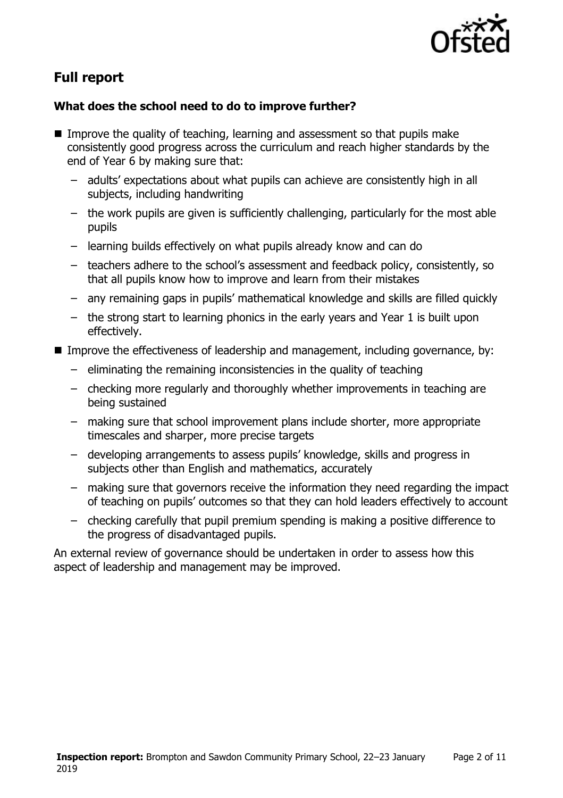

# **Full report**

### **What does the school need to do to improve further?**

- Improve the quality of teaching, learning and assessment so that pupils make consistently good progress across the curriculum and reach higher standards by the end of Year 6 by making sure that:
	- adults' expectations about what pupils can achieve are consistently high in all subjects, including handwriting
	- the work pupils are given is sufficiently challenging, particularly for the most able pupils
	- learning builds effectively on what pupils already know and can do
	- teachers adhere to the school's assessment and feedback policy, consistently, so that all pupils know how to improve and learn from their mistakes
	- any remaining gaps in pupils' mathematical knowledge and skills are filled quickly
	- the strong start to learning phonics in the early years and Year 1 is built upon effectively.
- Improve the effectiveness of leadership and management, including governance, by:
	- eliminating the remaining inconsistencies in the quality of teaching
	- checking more regularly and thoroughly whether improvements in teaching are being sustained
	- making sure that school improvement plans include shorter, more appropriate timescales and sharper, more precise targets
	- developing arrangements to assess pupils' knowledge, skills and progress in subjects other than English and mathematics, accurately
	- making sure that governors receive the information they need regarding the impact of teaching on pupils' outcomes so that they can hold leaders effectively to account
	- checking carefully that pupil premium spending is making a positive difference to the progress of disadvantaged pupils.

An external review of governance should be undertaken in order to assess how this aspect of leadership and management may be improved.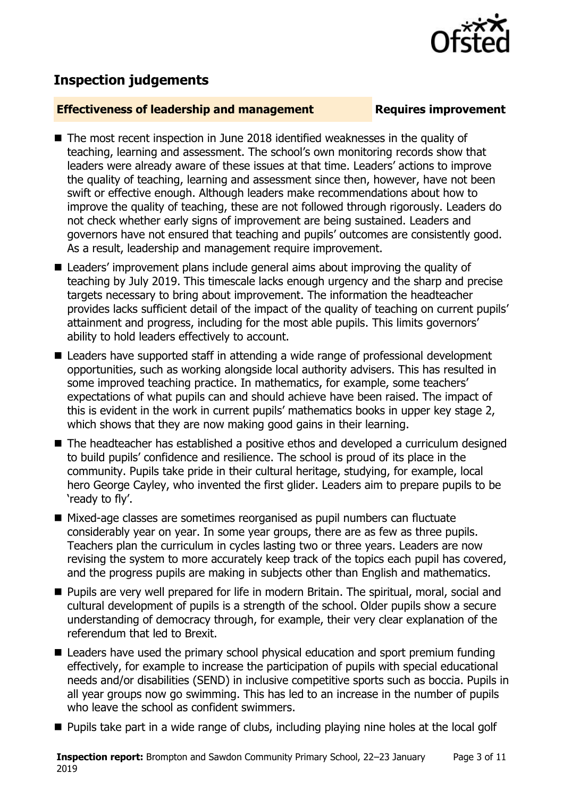

# **Inspection judgements**

#### **Effectiveness of leadership and management Requires improvement**

- The most recent inspection in June 2018 identified weaknesses in the quality of teaching, learning and assessment. The school's own monitoring records show that leaders were already aware of these issues at that time. Leaders' actions to improve the quality of teaching, learning and assessment since then, however, have not been swift or effective enough. Although leaders make recommendations about how to improve the quality of teaching, these are not followed through rigorously. Leaders do not check whether early signs of improvement are being sustained. Leaders and governors have not ensured that teaching and pupils' outcomes are consistently good. As a result, leadership and management require improvement.
- Leaders' improvement plans include general aims about improving the quality of teaching by July 2019. This timescale lacks enough urgency and the sharp and precise targets necessary to bring about improvement. The information the headteacher provides lacks sufficient detail of the impact of the quality of teaching on current pupils' attainment and progress, including for the most able pupils. This limits governors' ability to hold leaders effectively to account.
- Leaders have supported staff in attending a wide range of professional development opportunities, such as working alongside local authority advisers. This has resulted in some improved teaching practice. In mathematics, for example, some teachers' expectations of what pupils can and should achieve have been raised. The impact of this is evident in the work in current pupils' mathematics books in upper key stage 2, which shows that they are now making good gains in their learning.
- The headteacher has established a positive ethos and developed a curriculum designed to build pupils' confidence and resilience. The school is proud of its place in the community. Pupils take pride in their cultural heritage, studying, for example, local hero George Cayley, who invented the first glider. Leaders aim to prepare pupils to be 'ready to fly'.
- Mixed-age classes are sometimes reorganised as pupil numbers can fluctuate considerably year on year. In some year groups, there are as few as three pupils. Teachers plan the curriculum in cycles lasting two or three years. Leaders are now revising the system to more accurately keep track of the topics each pupil has covered, and the progress pupils are making in subjects other than English and mathematics.
- **Pupils are very well prepared for life in modern Britain. The spiritual, moral, social and** cultural development of pupils is a strength of the school. Older pupils show a secure understanding of democracy through, for example, their very clear explanation of the referendum that led to Brexit.
- Leaders have used the primary school physical education and sport premium funding effectively, for example to increase the participation of pupils with special educational needs and/or disabilities (SEND) in inclusive competitive sports such as boccia. Pupils in all year groups now go swimming. This has led to an increase in the number of pupils who leave the school as confident swimmers.
- **Pupils take part in a wide range of clubs, including playing nine holes at the local golf**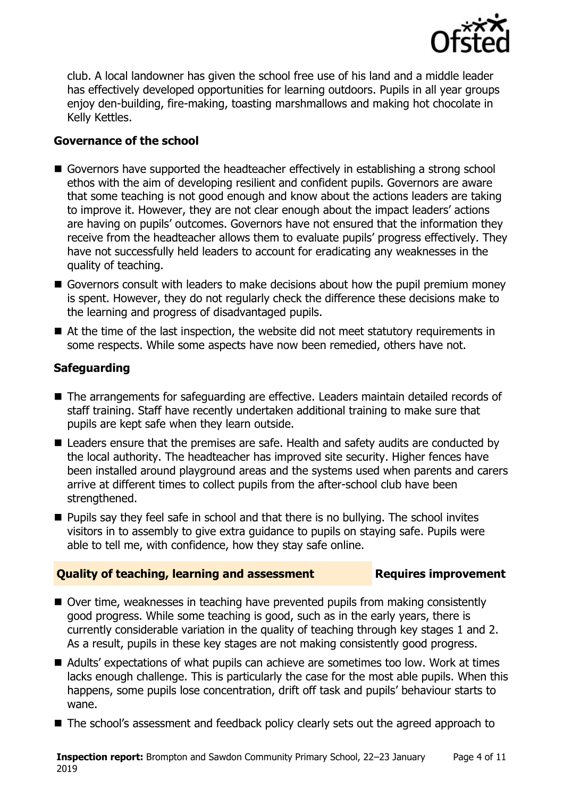

club. A local landowner has given the school free use of his land and a middle leader has effectively developed opportunities for learning outdoors. Pupils in all year groups enjoy den-building, fire-making, toasting marshmallows and making hot chocolate in Kelly Kettles.

### **Governance of the school**

- Governors have supported the headteacher effectively in establishing a strong school ethos with the aim of developing resilient and confident pupils. Governors are aware that some teaching is not good enough and know about the actions leaders are taking to improve it. However, they are not clear enough about the impact leaders' actions are having on pupils' outcomes. Governors have not ensured that the information they receive from the headteacher allows them to evaluate pupils' progress effectively. They have not successfully held leaders to account for eradicating any weaknesses in the quality of teaching.
- Governors consult with leaders to make decisions about how the pupil premium money is spent. However, they do not regularly check the difference these decisions make to the learning and progress of disadvantaged pupils.
- At the time of the last inspection, the website did not meet statutory requirements in some respects. While some aspects have now been remedied, others have not.

### **Safeguarding**

- The arrangements for safeguarding are effective. Leaders maintain detailed records of staff training. Staff have recently undertaken additional training to make sure that pupils are kept safe when they learn outside.
- Leaders ensure that the premises are safe. Health and safety audits are conducted by the local authority. The headteacher has improved site security. Higher fences have been installed around playground areas and the systems used when parents and carers arrive at different times to collect pupils from the after-school club have been strengthened.
- **Pupils say they feel safe in school and that there is no bullying. The school invites** visitors in to assembly to give extra guidance to pupils on staying safe. Pupils were able to tell me, with confidence, how they stay safe online.

### **Quality of teaching, learning and assessment Requires improvement**

- Over time, weaknesses in teaching have prevented pupils from making consistently good progress. While some teaching is good, such as in the early years, there is currently considerable variation in the quality of teaching through key stages 1 and 2. As a result, pupils in these key stages are not making consistently good progress.
- Adults' expectations of what pupils can achieve are sometimes too low. Work at times lacks enough challenge. This is particularly the case for the most able pupils. When this happens, some pupils lose concentration, drift off task and pupils' behaviour starts to wane.
- The school's assessment and feedback policy clearly sets out the agreed approach to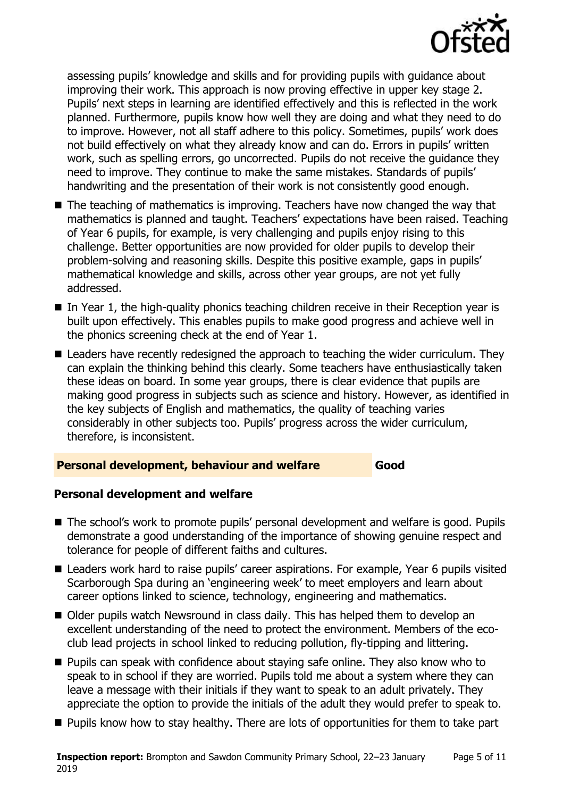

assessing pupils' knowledge and skills and for providing pupils with guidance about improving their work. This approach is now proving effective in upper key stage 2. Pupils' next steps in learning are identified effectively and this is reflected in the work planned. Furthermore, pupils know how well they are doing and what they need to do to improve. However, not all staff adhere to this policy. Sometimes, pupils' work does not build effectively on what they already know and can do. Errors in pupils' written work, such as spelling errors, go uncorrected. Pupils do not receive the guidance they need to improve. They continue to make the same mistakes. Standards of pupils' handwriting and the presentation of their work is not consistently good enough.

- $\blacksquare$  The teaching of mathematics is improving. Teachers have now changed the way that mathematics is planned and taught. Teachers' expectations have been raised. Teaching of Year 6 pupils, for example, is very challenging and pupils enjoy rising to this challenge. Better opportunities are now provided for older pupils to develop their problem-solving and reasoning skills. Despite this positive example, gaps in pupils' mathematical knowledge and skills, across other year groups, are not yet fully addressed.
- $\blacksquare$  In Year 1, the high-quality phonics teaching children receive in their Reception year is built upon effectively. This enables pupils to make good progress and achieve well in the phonics screening check at the end of Year 1.
- Leaders have recently redesigned the approach to teaching the wider curriculum. They can explain the thinking behind this clearly. Some teachers have enthusiastically taken these ideas on board. In some year groups, there is clear evidence that pupils are making good progress in subjects such as science and history. However, as identified in the key subjects of English and mathematics, the quality of teaching varies considerably in other subjects too. Pupils' progress across the wider curriculum, therefore, is inconsistent.

### **Personal development, behaviour and welfare Good**

### **Personal development and welfare**

- The school's work to promote pupils' personal development and welfare is good. Pupils demonstrate a good understanding of the importance of showing genuine respect and tolerance for people of different faiths and cultures.
- Leaders work hard to raise pupils' career aspirations. For example, Year 6 pupils visited Scarborough Spa during an 'engineering week' to meet employers and learn about career options linked to science, technology, engineering and mathematics.
- Older pupils watch Newsround in class daily. This has helped them to develop an excellent understanding of the need to protect the environment. Members of the ecoclub lead projects in school linked to reducing pollution, fly-tipping and littering.
- **Pupils can speak with confidence about staying safe online. They also know who to** speak to in school if they are worried. Pupils told me about a system where they can leave a message with their initials if they want to speak to an adult privately. They appreciate the option to provide the initials of the adult they would prefer to speak to.
- **Pupils know how to stay healthy. There are lots of opportunities for them to take part**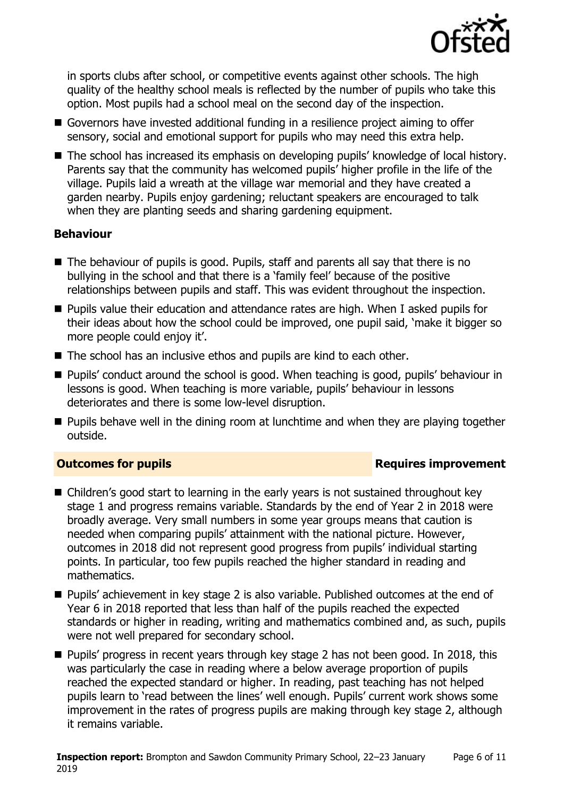

in sports clubs after school, or competitive events against other schools. The high quality of the healthy school meals is reflected by the number of pupils who take this option. Most pupils had a school meal on the second day of the inspection.

- Governors have invested additional funding in a resilience project aiming to offer sensory, social and emotional support for pupils who may need this extra help.
- The school has increased its emphasis on developing pupils' knowledge of local history. Parents say that the community has welcomed pupils' higher profile in the life of the village. Pupils laid a wreath at the village war memorial and they have created a garden nearby. Pupils enjoy gardening; reluctant speakers are encouraged to talk when they are planting seeds and sharing gardening equipment.

### **Behaviour**

- The behaviour of pupils is good. Pupils, staff and parents all say that there is no bullying in the school and that there is a 'family feel' because of the positive relationships between pupils and staff. This was evident throughout the inspection.
- **Pupils value their education and attendance rates are high. When I asked pupils for** their ideas about how the school could be improved, one pupil said, 'make it bigger so more people could enjoy it'.
- The school has an inclusive ethos and pupils are kind to each other.
- Pupils' conduct around the school is good. When teaching is good, pupils' behaviour in lessons is good. When teaching is more variable, pupils' behaviour in lessons deteriorates and there is some low-level disruption.
- **Pupils behave well in the dining room at lunchtime and when they are playing together** outside.

### **Outcomes for pupils Requires improvement**

- Children's good start to learning in the early years is not sustained throughout key stage 1 and progress remains variable. Standards by the end of Year 2 in 2018 were broadly average. Very small numbers in some year groups means that caution is needed when comparing pupils' attainment with the national picture. However, outcomes in 2018 did not represent good progress from pupils' individual starting points. In particular, too few pupils reached the higher standard in reading and mathematics.
- Pupils' achievement in key stage 2 is also variable. Published outcomes at the end of Year 6 in 2018 reported that less than half of the pupils reached the expected standards or higher in reading, writing and mathematics combined and, as such, pupils were not well prepared for secondary school.
- **Pupils' progress in recent years through key stage 2 has not been good. In 2018, this** was particularly the case in reading where a below average proportion of pupils reached the expected standard or higher. In reading, past teaching has not helped pupils learn to 'read between the lines' well enough. Pupils' current work shows some improvement in the rates of progress pupils are making through key stage 2, although it remains variable.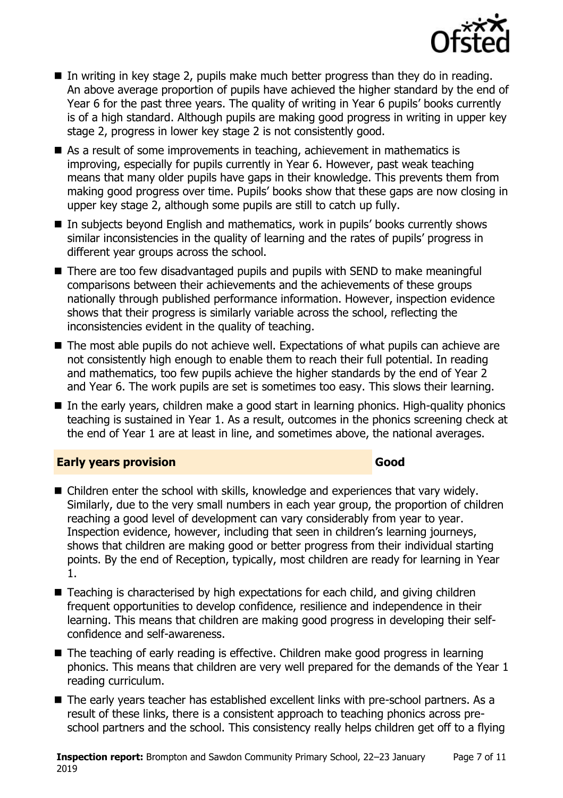

- In writing in key stage 2, pupils make much better progress than they do in reading. An above average proportion of pupils have achieved the higher standard by the end of Year 6 for the past three years. The quality of writing in Year 6 pupils' books currently is of a high standard. Although pupils are making good progress in writing in upper key stage 2, progress in lower key stage 2 is not consistently good.
- As a result of some improvements in teaching, achievement in mathematics is improving, especially for pupils currently in Year 6. However, past weak teaching means that many older pupils have gaps in their knowledge. This prevents them from making good progress over time. Pupils' books show that these gaps are now closing in upper key stage 2, although some pupils are still to catch up fully.
- In subjects beyond English and mathematics, work in pupils' books currently shows similar inconsistencies in the quality of learning and the rates of pupils' progress in different year groups across the school.
- There are too few disadvantaged pupils and pupils with SEND to make meaningful comparisons between their achievements and the achievements of these groups nationally through published performance information. However, inspection evidence shows that their progress is similarly variable across the school, reflecting the inconsistencies evident in the quality of teaching.
- The most able pupils do not achieve well. Expectations of what pupils can achieve are not consistently high enough to enable them to reach their full potential. In reading and mathematics, too few pupils achieve the higher standards by the end of Year 2 and Year 6. The work pupils are set is sometimes too easy. This slows their learning.
- In the early years, children make a good start in learning phonics. High-quality phonics teaching is sustained in Year 1. As a result, outcomes in the phonics screening check at the end of Year 1 are at least in line, and sometimes above, the national averages.

### **Early years provision Good Good**

- Children enter the school with skills, knowledge and experiences that vary widely. Similarly, due to the very small numbers in each year group, the proportion of children reaching a good level of development can vary considerably from year to year. Inspection evidence, however, including that seen in children's learning journeys, shows that children are making good or better progress from their individual starting points. By the end of Reception, typically, most children are ready for learning in Year 1.
- Teaching is characterised by high expectations for each child, and giving children frequent opportunities to develop confidence, resilience and independence in their learning. This means that children are making good progress in developing their selfconfidence and self-awareness.
- The teaching of early reading is effective. Children make good progress in learning phonics. This means that children are very well prepared for the demands of the Year 1 reading curriculum.
- The early years teacher has established excellent links with pre-school partners. As a result of these links, there is a consistent approach to teaching phonics across preschool partners and the school. This consistency really helps children get off to a flying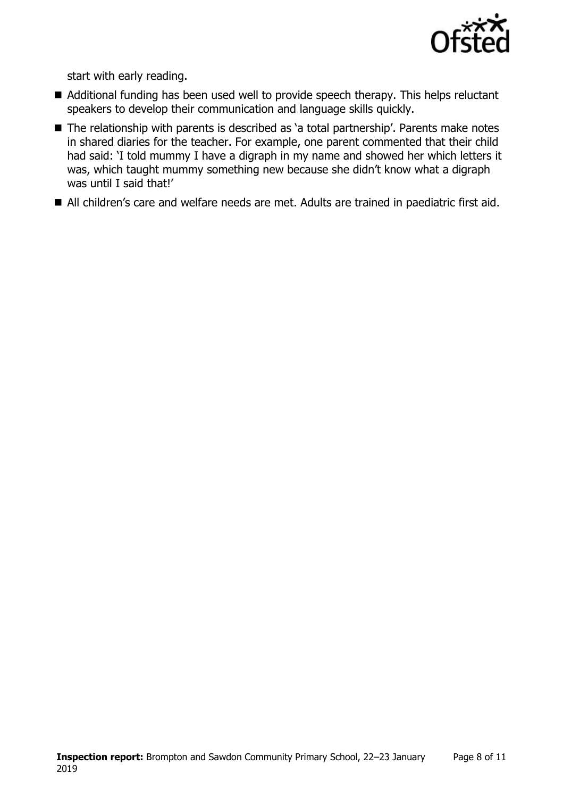

start with early reading.

- Additional funding has been used well to provide speech therapy. This helps reluctant speakers to develop their communication and language skills quickly.
- The relationship with parents is described as 'a total partnership'. Parents make notes in shared diaries for the teacher. For example, one parent commented that their child had said: 'I told mummy I have a digraph in my name and showed her which letters it was, which taught mummy something new because she didn't know what a digraph was until I said that!'
- All children's care and welfare needs are met. Adults are trained in paediatric first aid.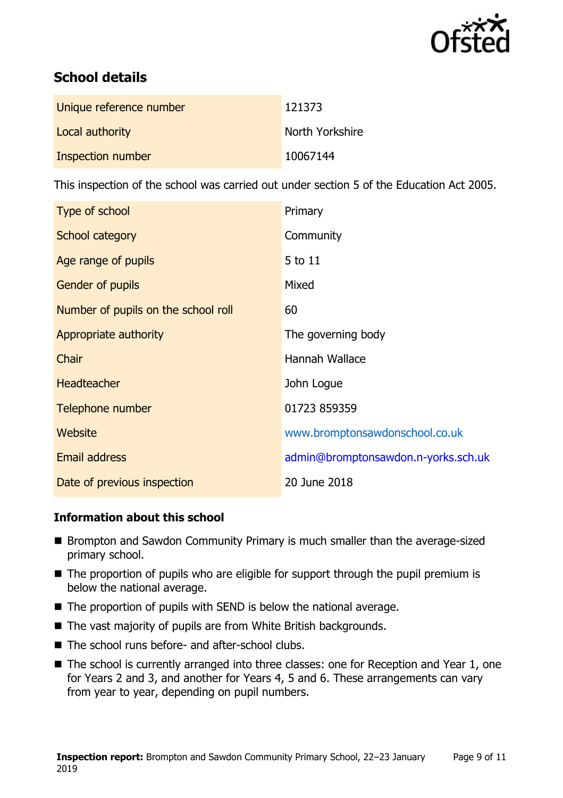

# **School details**

| Unique reference number | 121373          |
|-------------------------|-----------------|
| Local authority         | North Yorkshire |
| Inspection number       | 10067144        |

This inspection of the school was carried out under section 5 of the Education Act 2005.

| Type of school                      | Primary                             |
|-------------------------------------|-------------------------------------|
| School category                     | Community                           |
| Age range of pupils                 | 5 to 11                             |
| <b>Gender of pupils</b>             | Mixed                               |
| Number of pupils on the school roll | 60                                  |
| Appropriate authority               | The governing body                  |
| Chair                               | Hannah Wallace                      |
| <b>Headteacher</b>                  | John Logue                          |
| Telephone number                    | 01723 859359                        |
| Website                             | www.bromptonsawdonschool.co.uk      |
| <b>Email address</b>                | admin@bromptonsawdon.n-yorks.sch.uk |
| Date of previous inspection         | 20 June 2018                        |

### **Information about this school**

- Brompton and Sawdon Community Primary is much smaller than the average-sized primary school.
- The proportion of pupils who are eligible for support through the pupil premium is below the national average.
- $\blacksquare$  The proportion of pupils with SEND is below the national average.
- The vast majority of pupils are from White British backgrounds.
- The school runs before- and after-school clubs.
- The school is currently arranged into three classes: one for Reception and Year 1, one for Years 2 and 3, and another for Years 4, 5 and 6. These arrangements can vary from year to year, depending on pupil numbers.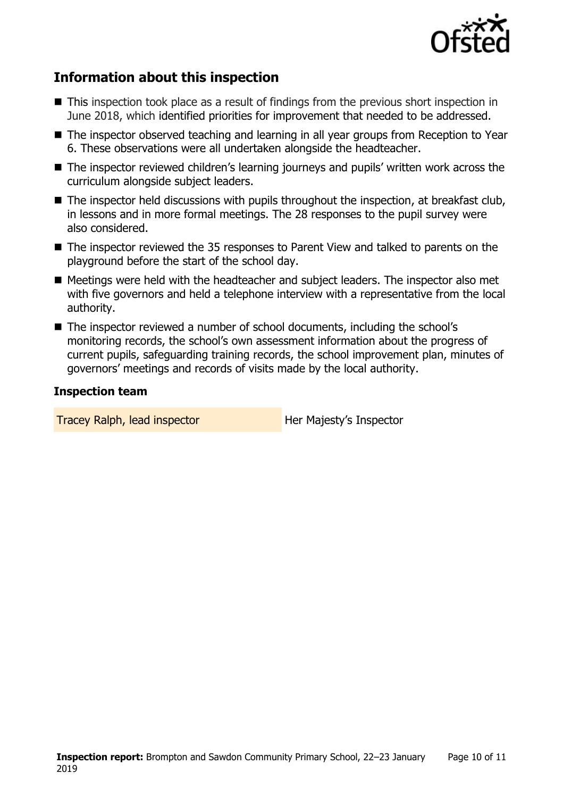

# **Information about this inspection**

- This inspection took place as a result of findings from the previous short inspection in June 2018, which identified priorities for improvement that needed to be addressed.
- The inspector observed teaching and learning in all year groups from Reception to Year 6. These observations were all undertaken alongside the headteacher.
- The inspector reviewed children's learning journeys and pupils' written work across the curriculum alongside subject leaders.
- The inspector held discussions with pupils throughout the inspection, at breakfast club, in lessons and in more formal meetings. The 28 responses to the pupil survey were also considered.
- The inspector reviewed the 35 responses to Parent View and talked to parents on the playground before the start of the school day.
- Meetings were held with the headteacher and subject leaders. The inspector also met with five governors and held a telephone interview with a representative from the local authority.
- The inspector reviewed a number of school documents, including the school's monitoring records, the school's own assessment information about the progress of current pupils, safeguarding training records, the school improvement plan, minutes of governors' meetings and records of visits made by the local authority.

#### **Inspection team**

**Tracey Ralph, lead inspector Figure 10 Her Majesty's Inspector**